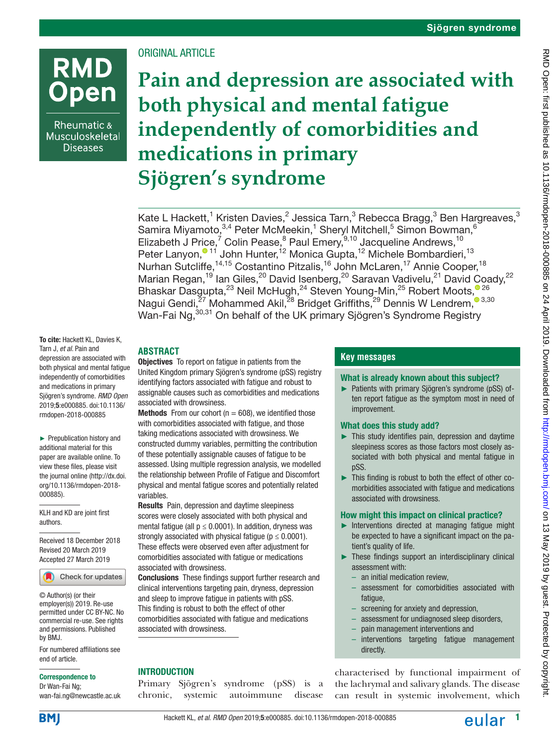# **RMD** pen

Rheumatic & Musculoskeletal **Diseases** 

# ORIGINAL ARTICLE

**Pain and depression are associated with both physical and mental fatigue independently of comorbidities and medications in primary Sjögren's syndrome**

Kate L Hackett, $^1$  Kristen Davies, $^2$  Jessica Tarn, $^3$  Rebecca Bragg, $^3$  Ben Hargreaves, $^3$ Samira Miyamoto,  $3,4$  Peter McMeekin,  $1$  Sheryl Mitchell,  $5$  Simon Bowman,  $6$ Elizabeth J Price,<sup>7</sup> Colin Pease,<sup>8</sup> Paul Emery,<sup>9,10</sup> Jacqueline Andrews,<sup>10</sup> Peter Lanyon[,](https://orcid.org/0000-0002-9855-6802)<sup>® 11</sup> John Hunter,<sup>12</sup> Monica Gupta,<sup>12</sup> Michele Bombardieri,<sup>13</sup> Nurhan Sutcliffe,<sup>14,15</sup> Costantino Pitzalis,<sup>16</sup> John McLaren,<sup>17</sup> Annie Cooper,<sup>18</sup> Marian Regan,<sup>19</sup> Ian Giles,<sup>20</sup> David Isenberg,<sup>20</sup> Saravan Vadivelu,<sup>21</sup> David Coady,<sup>22</sup> Bhaskar Dasgupta[,](http://orcid.org/0000-0001-7019-6211)<sup>23</sup> Neil McHugh,<sup>24</sup> Steven Young-Min,<sup>25</sup> Robert Moots,<sup>026</sup> Nagui Gendi[,](http://orcid.org/0000-0001-6268-5509)<sup>27</sup> Mohammed Akil,<sup>28</sup> Bridget Griffiths,<sup>29</sup> Dennis W Lendrem,<sup>3,30</sup> Wan-Fai Ng, <sup>30,31</sup> On behalf of the UK primary Sjögren's Syndrome Registry

#### To cite: Hackett KL, Davies K, Tarn J, *et al*. Pain and depression are associated with both physical and mental fatigue independently of comorbidities and medications in primary Sjögren's syndrome. *RMD Open* 2019;5:e000885. doi:10.1136/ rmdopen-2018-000885

► Prepublication history and additional material for this paper are available online. To view these files, please visit the journal online ([http://dx.doi.](http://dx.doi.org/10.1136/rmdopen-2018-000885) [org/10.1136/rmdopen-2018-](http://dx.doi.org/10.1136/rmdopen-2018-000885) [000885](http://dx.doi.org/10.1136/rmdopen-2018-000885)).

KLH and KD are joint first authors.

Received 18 December 2018 Revised 20 March 2019 Accepted 27 March 2019



© Author(s) (or their employer(s)) 2019. Re-use permitted under CC BY-NC. No commercial re-use. See rights and permissions. Published by BMJ.

For numbered affiliations see end of article.

#### Correspondence to

Dr Wan-Fai Ng; wan-fai.ng@newcastle.ac.uk

# **Abstract**

**Objectives** To report on fatigue in patients from the United Kingdom primary Sjögren's syndrome (pSS) registry identifying factors associated with fatigue and robust to assignable causes such as comorbidities and medications associated with drowsiness.

**Methods** From our cohort ( $n = 608$ ), we identified those with comorbidities associated with fatigue, and those taking medications associated with drowsiness. We constructed dummy variables, permitting the contribution of these potentially assignable causes of fatigue to be assessed. Using multiple regression analysis, we modelled the relationship between Profile of Fatigue and Discomfort physical and mental fatigue scores and potentially related variables.

Results Pain, depression and daytime sleepiness scores were closely associated with both physical and mental fatigue (all  $p \leq 0.0001$ ). In addition, dryness was strongly associated with physical fatigue ( $p \le 0.0001$ ). These effects were observed even after adjustment for comorbidities associated with fatigue or medications associated with drowsiness.

Conclusions These findings support further research and clinical interventions targeting pain, dryness, depression and sleep to improve fatigue in patients with pSS. This finding is robust to both the effect of other comorbidities associated with fatigue and medications associated with drowsiness.

# **INTRODUCTION**

Primary Sjögren's syndrome (pSS) is a chronic, systemic autoimmune disease

# **Key messages**

#### What is already known about this subject?

► Patients with primary Sjögren's syndrome (pSS) often report fatigue as the symptom most in need of improvement.

# What does this study add?

- ► This study identifies pain, depression and daytime sleepiness scores as those factors most closely associated with both physical and mental fatigue in pSS.
- ► This finding is robust to both the effect of other comorbidities associated with fatigue and medications associated with drowsiness.

# How might this impact on clinical practice?

- ► Interventions directed at managing fatigue might be expected to have a significant impact on the patient's quality of life.
- ► These findings support an interdisciplinary clinical assessment with:
	- an initial medication review,
	- assessment for comorbidities associated with fatigue,
	- screening for anxiety and depression,
	- assessment for undiagnosed sleep disorders,
	- pain management interventions and
	- interventions targeting fatigue management directly.

characterised by functional impairment of the lachrymal and salivary glands. The disease can result in systemic involvement, which

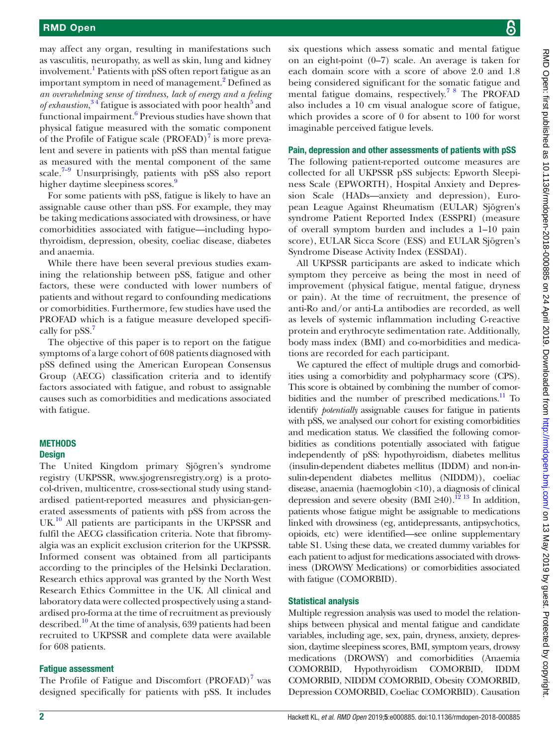may affect any organ, resulting in manifestations such as vasculitis, neuropathy, as well as skin, lung and kidney involvement.<sup>[1](#page-6-0)</sup> Patients with pSS often report fatigue as an important symptom in need of management.<sup>[2](#page-6-1)</sup> Defined as *an overwhelming sense of tiredness, lack of energy and a feeling*  of exhaustion,<sup>34</sup> fatigue is associated with poor health<sup>5</sup> and functional impairment.<sup>6</sup> Previous studies have shown that physical fatigue measured with the somatic component of the Profile of Fatigue scale (PROFAD)<sup>[7](#page-6-5)</sup> is more prevalent and severe in patients with pSS than mental fatigue as measured with the mental component of the same scale.<sup>7–9</sup> Unsurprisingly, patients with pSS also report higher daytime sleepiness scores.<sup>9</sup>

For some patients with pSS, fatigue is likely to have an assignable cause other than pSS. For example, they may be taking medications associated with drowsiness, or have comorbidities associated with fatigue—including hypothyroidism, depression, obesity, coeliac disease, diabetes and anaemia.

While there have been several previous studies examining the relationship between pSS, fatigue and other factors, these were conducted with lower numbers of patients and without regard to confounding medications or comorbidities. Furthermore, few studies have used the PROFAD which is a fatigue measure developed specifi-cally for pSS.<sup>[7](#page-6-5)</sup>

The objective of this paper is to report on the fatigue symptoms of a large cohort of 608 patients diagnosed with pSS defined using the American European Consensus Group (AECG) classification criteria and to identify factors associated with fatigue, and robust to assignable causes such as comorbidities and medications associated with fatigue.

# **METHODS**

## **Design**

The United Kingdom primary Sjögren's syndrome registry (UKPSSR, [www.sjogrensregistry.org\)](www.sjogrensregistry.org) is a protocol-driven, multicentre, cross-sectional study using standardised patient-reported measures and physician-generated assessments of patients with pSS from across the UK.<sup>10</sup> All patients are participants in the UKPSSR and fulfil the AECG classification criteria. Note that fibromyalgia was an explicit exclusion criterion for the UKPSSR. Informed consent was obtained from all participants according to the principles of the Helsinki Declaration. Research ethics approval was granted by the North West Research Ethics Committee in the UK. All clinical and laboratory data were collected prospectively using a standardised pro-forma at the time of recruitment as previously described.<sup>10</sup> At the time of analysis, 639 patients had been recruited to UKPSSR and complete data were available for 608 patients.

# Fatigue assessment

The Profile of Fatigue and Discomfort  $(PROFAD)^7$  was designed specifically for patients with pSS. It includes

six questions which assess somatic and mental fatigue on an eight-point (0–7) scale. An average is taken for each domain score with a score of above 2.0 and 1.8 being considered significant for the somatic fatigue and mental fatigue domains, respectively.[7 8](#page-6-5) The PROFAD also includes a 10 cm visual analogue score of fatigue, which provides a score of 0 for absent to 100 for worst imaginable perceived fatigue levels.

#### Pain, depression and other assessments of patients with pSS

The following patient-reported outcome measures are collected for all UKPSSR pSS subjects: Epworth Sleepiness Scale (EPWORTH), Hospital Anxiety and Depression Scale (HADs—anxiety and depression), European League Against Rheumatism (EULAR) Sjögren's syndrome Patient Reported Index (ESSPRI) (measure of overall symptom burden and includes a 1–10 pain score), EULAR Sicca Score (ESS) and EULAR Sjögren's Syndrome Disease Activity Index (ESSDAI).

All UKPSSR participants are asked to indicate which symptom they perceive as being the most in need of improvement (physical fatigue, mental fatigue, dryness or pain). At the time of recruitment, the presence of anti-Ro and/or anti-La antibodies are recorded, as well as levels of systemic inflammation including C-reactive protein and erythrocyte sedimentation rate. Additionally, body mass index (BMI) and co-morbidities and medications are recorded for each participant.

We captured the effect of multiple drugs and comorbidities using a comorbidity and polypharmacy score (CPS). This score is obtained by combining the number of comorbidities and the number of prescribed medications. $\frac{11}{10}$  To identify *potentially* assignable causes for fatigue in patients with pSS, we analysed our cohort for existing comorbidities and medication status. We classified the following comorbidities as conditions potentially associated with fatigue independently of pSS: hypothyroidism, diabetes mellitus (insulin-dependent diabetes mellitus (IDDM) and non-insulin-dependent diabetes mellitus (NIDDM)), coeliac disease, anaemia (haemoglobin <10), a diagnosis of clinical depression and severe obesity (BMI ≥40).<sup>12</sup> <sup>13</sup> In addition, patients whose fatigue might be assignable to medications linked with drowsiness (eg, antidepressants, antipsychotics, opioids, etc) were identified—see [online supplementary](https://dx.doi.org/10.1136/rmdopen-2018-000885) [table S1](https://dx.doi.org/10.1136/rmdopen-2018-000885). Using these data, we created dummy variables for each patient to adjust for medications associated with drowsiness (DROWSY Medications) or comorbidities associated with fatigue (COMORBID).

#### Statistical analysis

Multiple regression analysis was used to model the relationships between physical and mental fatigue and candidate variables, including age, sex, pain, dryness, anxiety, depression, daytime sleepiness scores, BMI, symptom years, drowsy medications (DROWSY) and comorbidities (Anaemia COMORBID, Hypothyroidism COMORBID, IDDM COMORBID, NIDDM COMORBID, Obesity COMORBID, Depression COMORBID, Coeliac COMORBID). Causation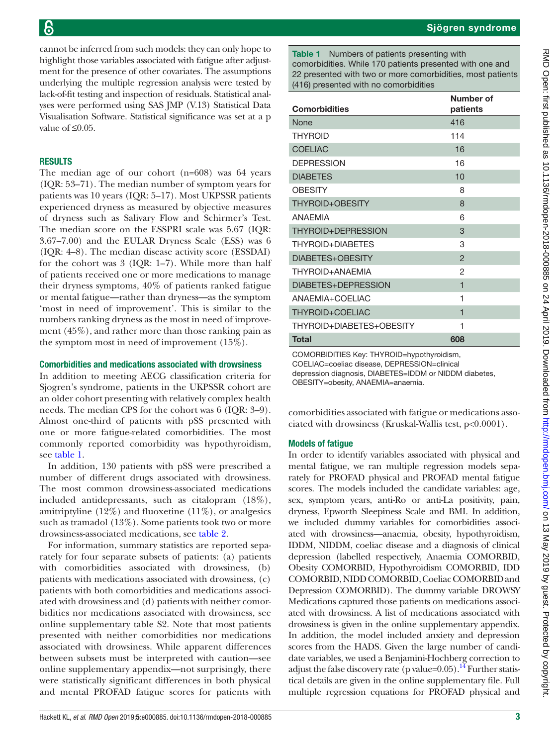cannot be inferred from such models: they can only hope to highlight those variables associated with fatigue after adjustment for the presence of other covariates. The assumptions underlying the multiple regression analysis were tested by lack-of-fit testing and inspection of residuals. Statistical analyses were performed using SAS JMP (V.13) Statistical Data Visualisation Software. Statistical significance was set at a p value of  $\leq 0.05$ .

# **RESULTS**

The median age of our cohort (n=608) was 64 years (IQR: 53–71). The median number of symptom years for patients was 10 years (IQR: 5–17). Most UKPSSR patients experienced dryness as measured by objective measures of dryness such as Salivary Flow and Schirmer's Test. The median score on the ESSPRI scale was 5.67 (IQR: 3.67–7.00) and the EULAR Dryness Scale (ESS) was 6 (IQR: 4–8). The median disease activity score (ESSDAI) for the cohort was 3 (IQR: 1–7). While more than half of patients received one or more medications to manage their dryness symptoms, 40% of patients ranked fatigue or mental fatigue—rather than dryness—as the symptom 'most in need of improvement'. This is similar to the numbers ranking dryness as the most in need of improvement (45%), and rather more than those ranking pain as the symptom most in need of improvement (15%).

#### Comorbidities and medications associated with drowsiness

In addition to meeting AECG classification criteria for Sjogren's syndrome, patients in the UKPSSR cohort are an older cohort presenting with relatively complex health needs. The median CPS for the cohort was 6 (IQR: 3–9). Almost one-third of patients with pSS presented with one or more fatigue-related comorbidities. The most commonly reported comorbidity was hypothyroidism, see [table](#page-2-0) 1.

In addition, 130 patients with pSS were prescribed a number of different drugs associated with drowsiness. The most common drowsiness-associated medications included antidepressants, such as citalopram (18%), amitriptyline  $(12\%)$  and fluoxetine  $(11\%)$ , or analgesics such as tramadol (13%). Some patients took two or more drowsiness-associated medications, see [table](#page-3-0) 2.

For information, summary statistics are reported separately for four separate subsets of patients: (a) patients with comorbidities associated with drowsiness, (b) patients with medications associated with drowsiness, (c) patients with both comorbidities and medications associated with drowsiness and (d) patients with neither comorbidities nor medications associated with drowsiness, see [online supplementary table S2.](https://dx.doi.org/10.1136/rmdopen-2018-000885) Note that most patients presented with neither comorbidities nor medications associated with drowsiness. While apparent differences between subsets must be interpreted with caution—see [online supplementary appendix](https://dx.doi.org/10.1136/rmdopen-2018-000885)—not surprisingly, there were statistically significant differences in both physical and mental PROFAD fatigue scores for patients with

<span id="page-2-0"></span>Table 1 Numbers of patients presenting with comorbidities. While 170 patients presented with one and 22 presented with two or more comorbidities, most patients (416) presented with no comorbidities

| Number of<br>patients   |
|-------------------------|
| 416                     |
| 114                     |
| 16                      |
| 16                      |
| 10                      |
| 8                       |
| 8                       |
| 6                       |
| 3                       |
| 3                       |
| $\mathfrak{p}$          |
| 2                       |
| $\overline{\mathbf{1}}$ |
| 1                       |
| $\overline{\mathbf{1}}$ |
| 1                       |
| 608                     |
|                         |

COMORBIDITIES Key: THYROID=hypothyroidism, COELIAC=coeliac disease, DEPRESSION=clinical depression diagnosis, DIABETES=IDDM or NIDDM diabetes, OBESITY=obesity, ANAEMIA=anaemia.

comorbidities associated with fatigue or medications associated with drowsiness (Kruskal-Wallis test, p<0.0001).

# Models of fatigue

In order to identify variables associated with physical and mental fatigue, we ran multiple regression models separately for PROFAD physical and PROFAD mental fatigue scores. The models included the candidate variables: age, sex, symptom years, anti-Ro or anti-La positivity, pain, dryness, Epworth Sleepiness Scale and BMI. In addition, we included dummy variables for comorbidities associated with drowsiness—anaemia, obesity, hypothyroidism, IDDM, NIDDM, coeliac disease and a diagnosis of clinical depression (labelled respectively, Anaemia COMORBID, Obesity COMORBID, Hypothyroidism COMORBID, IDD COMORBID, NIDD COMORBID, Coeliac COMORBID and Depression COMORBID). The dummy variable DROWSY Medications captured those patients on medications associated with drowsiness. A list of medications associated with drowsiness is given in the [online supplementary appendix.](https://dx.doi.org/10.1136/rmdopen-2018-000885) In addition, the model included anxiety and depression scores from the HADS. Given the large number of candidate variables, we used a Benjamini-Hochberg correction to adjust the false discovery rate (p value= $0.05$ ).<sup>[14](#page-6-10)</sup> Further statistical details are given in the [online supplementary file.](https://dx.doi.org/10.1136/rmdopen-2018-000885) Full multiple regression equations for PROFAD physical and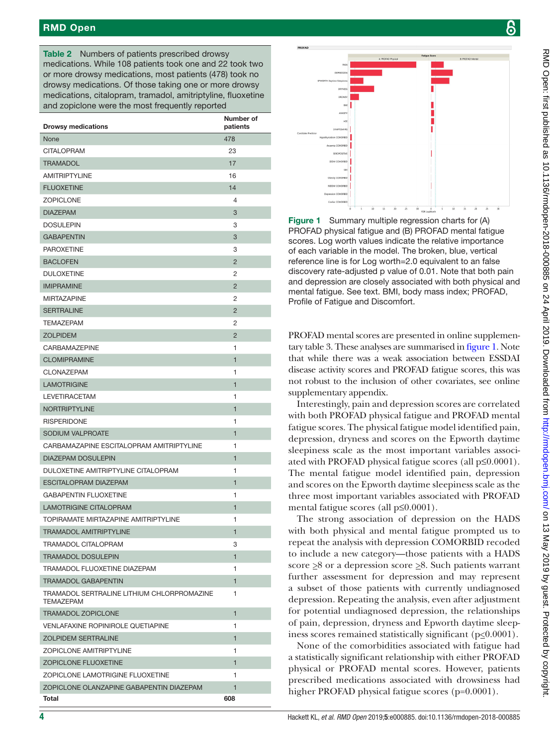# RMD Open

<span id="page-3-0"></span>Table 2 Numbers of patients prescribed drowsy medications. While 108 patients took one and 22 took two or more drowsy medications, most patients (478) took no drowsy medications. Of those taking one or more drowsy medications, citalopram, tramadol, amitriptyline, fluoxetine and zopiclone were the most frequently reported

| <b>Drowsy medications</b>                                      | Number of<br>patients |
|----------------------------------------------------------------|-----------------------|
| None                                                           | 478                   |
| <b>CITALOPRAM</b>                                              | 23                    |
| <b>TRAMADOL</b>                                                | 17                    |
| <b>AMITRIPTYLINE</b>                                           | 16                    |
| <b>FLUOXETINE</b>                                              | 14                    |
| <b>ZOPICLONE</b>                                               | 4                     |
| <b>DIAZEPAM</b>                                                | 3                     |
| <b>DOSULEPIN</b>                                               | 3                     |
| <b>GABAPENTIN</b>                                              | 3                     |
| <b>PAROXETINE</b>                                              | 3                     |
| <b>BACLOFEN</b>                                                | $\overline{2}$        |
| <b>DULOXETINE</b>                                              | 2                     |
| <b>IMIPRAMINE</b>                                              | $\overline{2}$        |
| <b>MIRTAZAPINE</b>                                             | $\overline{2}$        |
| <b>SERTRALINE</b>                                              | $\overline{2}$        |
| <b>TEMAZEPAM</b>                                               | 2                     |
| <b>ZOLPIDEM</b>                                                | $\overline{2}$        |
| <b>CARBAMAZEPINE</b>                                           | 1                     |
| <b>CLOMIPRAMINE</b>                                            | $\mathbf{1}$          |
| CLONAZEPAM                                                     | 1                     |
| <b>LAMOTRIGINE</b>                                             | $\mathbf{1}$          |
| <b>LEVETIRACETAM</b>                                           | 1                     |
| <b>NORTRIPTYLINE</b>                                           | 1                     |
| <b>RISPERIDONE</b>                                             | 1                     |
| SODIUM VALPROATE                                               | $\mathbf{1}$          |
| CARBAMAZAPINE ESCITALOPRAM AMITRIPTYLINE                       | 1                     |
| <b>DIAZEPAM DOSULEPIN</b>                                      | $\mathbf{1}$          |
| DULOXETINE AMITRIPTYLINE CITALOPRAM                            | 1                     |
| <b>ESCITALOPRAM DIAZEPAM</b>                                   | $\mathbf{1}$          |
| <b>GABAPENTIN FLUOXETINE</b>                                   | 1                     |
| <b>LAMOTRIGINE CITALOPRAM</b>                                  | 1                     |
| TOPIRAMATE MIRTAZAPINE AMITRIPTYLINE                           | 1                     |
| TRAMADOL AMITRIPTYLINE                                         | 1                     |
| <b>TRAMADOL CITALOPRAM</b>                                     | 3                     |
| <b>TRAMADOL DOSULEPIN</b>                                      | $\mathbf{1}$          |
| TRAMADOL FLUOXETINE DIAZEPAM                                   | 1                     |
| <b>TRAMADOL GABAPENTIN</b>                                     | $\mathbf{1}$          |
| TRAMADOL SERTRALINE LITHIUM CHLORPROMAZINE<br><b>TEMAZEPAM</b> | 1                     |
| <b>TRAMADOL ZOPICLONE</b>                                      | $\mathbf{1}$          |
| <b>VENLAFAXINE ROPINIROLE QUETIAPINE</b>                       | 1                     |
| <b>ZOLPIDEM SERTRALINE</b>                                     | 1                     |
| <b>ZOPICLONE AMITRIPTYLINE</b>                                 | 1                     |
| ZOPICLONE FLUOXETINE                                           | $\mathbf{1}$          |
| ZOPICLONE LAMOTRIGINE FLUOXETINE                               | 1                     |
| ZOPICLONE OLANZAPINE GABAPENTIN DIAZEPAM                       | 1                     |
| Total                                                          | 608                   |



<span id="page-3-1"></span>Figure 1 Summary multiple regression charts for (A) PROFAD physical fatigue and (B) PROFAD mental fatigue scores. Log worth values indicate the relative importance of each variable in the model. The broken, blue, vertical reference line is for Log worth=2.0 equivalent to an false discovery rate-adjusted p value of 0.01. Note that both pain and depression are closely associated with both physical and mental fatigue. See text. BMI, body mass index; PROFAD, Profile of Fatigue and Discomfort.

PROFAD mental scores are presented in [online supplemen](https://dx.doi.org/10.1136/rmdopen-2018-000885)[tary table 3.](https://dx.doi.org/10.1136/rmdopen-2018-000885) These analyses are summarised in [figure](#page-3-1) 1. Note that while there was a weak association between ESSDAI disease activity scores and PROFAD fatigue scores, this was not robust to the inclusion of other covariates, see [online](https://dx.doi.org/10.1136/rmdopen-2018-000885) [supplementary appendix.](https://dx.doi.org/10.1136/rmdopen-2018-000885)

Interestingly, pain and depression scores are correlated with both PROFAD physical fatigue and PROFAD mental fatigue scores. The physical fatigue model identified pain, depression, dryness and scores on the Epworth daytime sleepiness scale as the most important variables associated with PROFAD physical fatigue scores (all p≤0.0001). The mental fatigue model identified pain, depression and scores on the Epworth daytime sleepiness scale as the three most important variables associated with PROFAD mental fatigue scores (all p≤0.0001).

The strong association of depression on the HADS with both physical and mental fatigue prompted us to repeat the analysis with depression COMORBID recoded to include a new category—those patients with a HADS score  $\geq$ 8 or a depression score  $\geq$ 8. Such patients warrant further assessment for depression and may represent a subset of those patients with currently undiagnosed depression. Repeating the analysis, even after adjustment for potential undiagnosed depression, the relationships of pain, depression, dryness and Epworth daytime sleepiness scores remained statistically significant ( $p \le 0.0001$ ).

None of the comorbidities associated with fatigue had a statistically significant relationship with either PROFAD physical or PROFAD mental scores. However, patients prescribed medications associated with drowsiness had higher PROFAD physical fatigue scores (p=0.0001).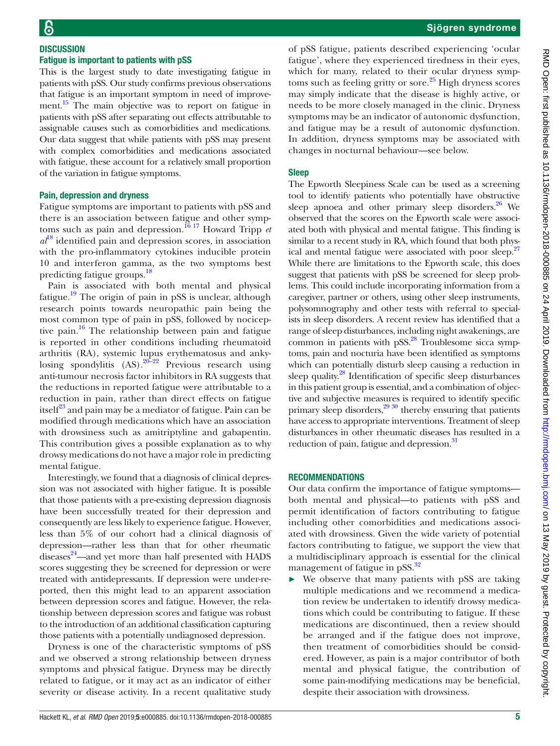## **DISCUSSION** Fatigue is important to patients with pSS

This is the largest study to date investigating fatigue in patients with pSS. Our study confirms previous observations that fatigue is an important symptom in need of improvement.<sup>15</sup> The main objective was to report on fatigue in patients with pSS after separating out effects attributable to assignable causes such as comorbidities and medications. Our data suggest that while patients with pSS may present with complex comorbidities and medications associated with fatigue, these account for a relatively small proportion of the variation in fatigue symptoms.

#### Pain, depression and dryness

Fatigue symptoms are important to patients with pSS and there is an association between fatigue and other symptoms such as pain and depression.[16 17](#page-6-12) Howard Tripp *et*   $a^{18}$  $a^{18}$  $a^{18}$  identified pain and depression scores, in association with the pro-inflammatory cytokines inducible protein 10 and interferon gamma, as the two symptoms best predicting fatigue groups.[18](#page-6-13)

Pain is associated with both mental and physical fatigue.<sup>[19](#page-6-14)</sup> The origin of pain in pSS is unclear, although research points towards neuropathic pain being the most common type of pain in pSS, followed by nociceptive pain.<sup>16</sup> The relationship between pain and fatigue is reported in other conditions including rheumatoid arthritis (RA), systemic lupus erythematosus and ankylosing spondylitis  $(AS)$ .<sup>20–22</sup> Previous research using anti-tumour necrosis factor inhibitors in RA suggests that the reductions in reported fatigue were attributable to a reduction in pain, rather than direct effects on fatigue itself $^{23}$  $^{23}$  $^{23}$  and pain may be a mediator of fatigue. Pain can be modified through medications which have an association with drowsiness such as amitriptyline and gabapentin. This contribution gives a possible explanation as to why drowsy medications do not have a major role in predicting mental fatigue.

Interestingly, we found that a diagnosis of clinical depression was not associated with higher fatigue. It is possible that those patients with a pre-existing depression diagnosis have been successfully treated for their depression and consequently are less likely to experience fatigue. However, less than 5% of our cohort had a clinical diagnosis of depression—rather less than that for other rheumatic diseases<sup>24</sup>—and yet more than half presented with HADS scores suggesting they be screened for depression or were treated with antidepressants. If depression were under-reported, then this might lead to an apparent association between depression scores and fatigue. However, the relationship between depression scores and fatigue was robust to the introduction of an additional classification capturing those patients with a potentially undiagnosed depression.

Dryness is one of the characteristic symptoms of pSS and we observed a strong relationship between dryness symptoms and physical fatigue. Dryness may be directly related to fatigue, or it may act as an indicator of either severity or disease activity. In a recent qualitative study

of pSS fatigue, patients described experiencing 'ocular fatigue', where they experienced tiredness in their eyes, which for many, related to their ocular dryness symptoms such as feeling gritty or sore.<sup>25</sup> High dryness scores may simply indicate that the disease is highly active, or needs to be more closely managed in the clinic. Dryness symptoms may be an indicator of autonomic dysfunction, and fatigue may be a result of autonomic dysfunction. In addition, dryness symptoms may be associated with changes in nocturnal behaviour—see below.

#### Sleep

The Epworth Sleepiness Scale can be used as a screening tool to identify patients who potentially have obstructive sleep apnoea and other primary sleep disorders. $26$  We observed that the scores on the Epworth scale were associated both with physical and mental fatigue. This finding is similar to a recent study in RA, which found that both phys-ical and mental fatigue were associated with poor sleep.<sup>[27](#page-6-20)</sup> While there are limitations to the Epworth scale, this does suggest that patients with pSS be screened for sleep problems. This could include incorporating information from a caregiver, partner or others, using other sleep instruments, polysomnography and other tests with referral to specialists in sleep disorders. A recent review has identified that a range of sleep disturbances, including night awakenings, are common in patients with  $pSS$ .<sup>28</sup> Troublesome sicca symptoms, pain and nocturia have been identified as symptoms which can potentially disturb sleep causing a reduction in sleep quality.<sup>[28](#page-6-21)</sup> Identification of specific sleep disturbances in this patient group is essential, and a combination of objective and subjective measures is required to identify specific primary sleep disorders, $2930$  thereby ensuring that patients have access to appropriate interventions. Treatment of sleep disturbances in other rheumatic diseases has resulted in a reduction of pain, fatigue and depression.<sup>31</sup>

#### **RECOMMENDATIONS**

Our data confirm the importance of fatigue symptoms both mental and physical—to patients with pSS and permit identification of factors contributing to fatigue including other comorbidities and medications associated with drowsiness. Given the wide variety of potential factors contributing to fatigue, we support the view that a multidisciplinary approach is essential for the clinical management of fatigue in pSS.<sup>[32](#page-6-24)</sup>

We observe that many patients with pSS are taking multiple medications and we recommend a medication review be undertaken to identify drowsy medications which could be contributing to fatigue. If these medications are discontinued, then a review should be arranged and if the fatigue does not improve, then treatment of comorbidities should be considered. However, as pain is a major contributor of both mental and physical fatigue, the contribution of some pain-modifying medications may be beneficial, despite their association with drowsiness.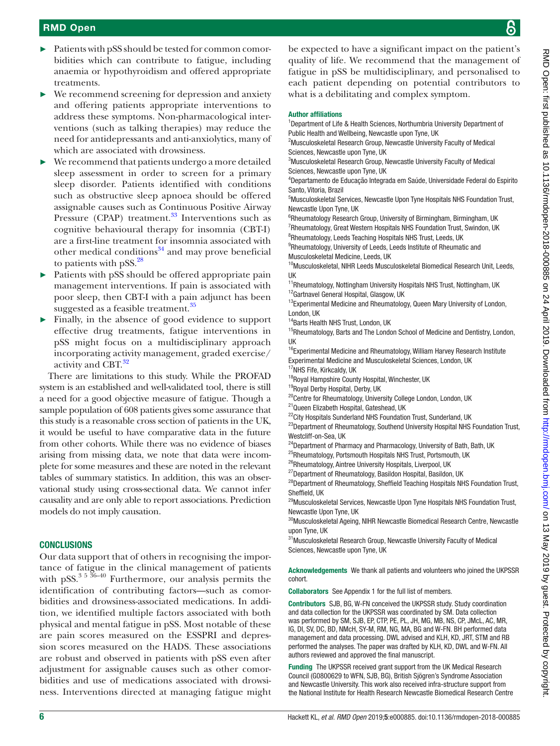- ► Patients with pSS should be tested for common comorbidities which can contribute to fatigue, including anaemia or hypothyroidism and offered appropriate treatments.
- $\triangleright$  We recommend screening for depression and anxiety and offering patients appropriate interventions to address these symptoms. Non-pharmacological interventions (such as talking therapies) may reduce the need for antidepressants and anti-anxiolytics, many of which are associated with drowsiness.
- We recommend that patients undergo a more detailed sleep assessment in order to screen for a primary sleep disorder. Patients identified with conditions such as obstructive sleep apnoea should be offered assignable causes such as Continuous Positive Airway Pressure (CPAP) treatment. $33$  Interventions such as cognitive behavioural therapy for insomnia (CBT-I) are a first-line treatment for insomnia associated with other medical conditions $34$  and may prove beneficial to patients with  $pSS.<sup>28</sup>$  $pSS.<sup>28</sup>$  $pSS.<sup>28</sup>$
- Patients with pSS should be offered appropriate pain management interventions. If pain is associated with poor sleep, then CBT-I with a pain adjunct has been suggested as a feasible treatment.<sup>[35](#page-6-27)</sup>
- Finally, in the absence of good evidence to support effective drug treatments, fatigue interventions in pSS might focus on a multidisciplinary approach incorporating activity management, graded exercise/ activity and CBT.<sup>32</sup>

There are limitations to this study. While the PROFAD system is an established and well-validated tool, there is still a need for a good objective measure of fatigue. Though a sample population of 608 patients gives some assurance that this study is a reasonable cross section of patients in the UK, it would be useful to have comparative data in the future from other cohorts. While there was no evidence of biases arising from missing data, we note that data were incomplete for some measures and these are noted in the relevant tables of summary statistics. In addition, this was an observational study using cross-sectional data. We cannot infer causality and are only able to report associations. Prediction models do not imply causation.

# **CONCLUSIONS**

Our data support that of others in recognising the importance of fatigue in the clinical management of patients with pSS. $^{3}$ <sup>5 36-40</sup> Furthermore, our analysis permits the identification of contributing factors—such as comorbidities and drowsiness-associated medications. In addition, we identified multiple factors associated with both physical and mental fatigue in pSS. Most notable of these are pain scores measured on the ESSPRI and depression scores measured on the HADS. These associations are robust and observed in patients with pSS even after adjustment for assignable causes such as other comorbidities and use of medications associated with drowsiness. Interventions directed at managing fatigue might be expected to have a significant impact on the patient's quality of life. We recommend that the management of fatigue in pSS be multidisciplinary, and personalised to each patient depending on potential contributors to what is a debilitating and complex symptom.

#### Author affiliations

<sup>1</sup>Department of Life & Health Sciences, Northumbria University Department of Public Health and Wellbeing, Newcastle upon Tyne, UK

<sup>2</sup>Musculoskeletal Research Group, Newcastle University Faculty of Medical Sciences, Newcastle upon Tyne, UK

<sup>3</sup>Musculoskeletal Research Group, Newcastle University Faculty of Medical Sciences, Newcastle upon Tyne, UK

4 Departamento de Educação Integrada em Saúde, Universidade Federal do Espirito Santo, Vitoria, Brazil

5 Musculoskeletal Services, Newcastle Upon Tyne Hospitals NHS Foundation Trust, Newcastle Upon Tyne, UK

<sup>6</sup>Rheumatology Research Group, University of Birmingham, Birmingham, UK <sup>7</sup>Rheumatology, Great Western Hospitals NHS Foundation Trust, Swindon, UK <sup>8</sup>Rheumatology, Leeds Teaching Hospitals NHS Trust, Leeds, UK

<sup>9</sup>Rheumatology, University of Leeds, Leeds Institute of Rheumatic and

Musculoskeletal Medicine, Leeds, UK

<sup>10</sup>Musculoskeletal, NIHR Leeds Musculoskeletal Biomedical Research Unit, Leeds, UK

<sup>11</sup>Rheumatology, Nottingham University Hospitals NHS Trust, Nottingham, UK <sup>12</sup>Gartnavel General Hospital, Glasgow, UK

<sup>13</sup> Experimental Medicine and Rheumatology, Queen Mary University of London, London, UK

<sup>14</sup>Barts Health NHS Trust, London, UK

<sup>15</sup>Rheumatology, Barts and The London School of Medicine and Dentistry, London, UK

<sup>16</sup>Experimental Medicine and Rheumatology, William Harvey Research Institute Experimental Medicine and Musculoskeletal Sciences, London, UK

<sup>17</sup>NHS Fife, Kirkcaldy, UK

<sup>18</sup>Royal Hampshire County Hospital, Winchester, UK

19Royal Derby Hospital, Derby, UK

<sup>20</sup>Centre for Rheumatology, University College London, London, UK

21Queen Elizabeth Hospital, Gateshead, UK

<sup>22</sup>City Hospitals Sunderland NHS Foundation Trust, Sunderland, UK <sup>23</sup>Department of Rheumatology, Southend University Hospital NHS Foundation Trust, Westcliff-on-Sea, UK

<sup>24</sup>Department of Pharmacy and Pharmacology, University of Bath, Bath, UK

<sup>25</sup>Rheumatology, Portsmouth Hospitals NHS Trust, Portsmouth, UK

<sup>26</sup>Rheumatology, Aintree University Hospitals, Liverpool, UK

<sup>27</sup>Department of Rheumatology, Basildon Hospital, Basildon, UK

<sup>28</sup>Department of Rheumatology, Sheffield Teaching Hospitals NHS Foundation Trust, Sheffield, UK

<sup>29</sup>Musculoskeletal Services, Newcastle Upon Tyne Hospitals NHS Foundation Trust, Newcastle Upon Tyne, UK

 $^{30}\!$  Musculoskeletal Ageing, NIHR Newcastle Biomedical Research Centre, Newcastle upon Tyne, UK

31 Musculoskeletal Research Group, Newcastle University Faculty of Medical Sciences, Newcastle upon Tyne, UK

Acknowledgements We thank all patients and volunteers who joined the UKPSSR cohort.

Collaborators See [Appendix 1](https://dx.doi.org/10.1136/rmdopen-2018-000885) for the full list of members.

Contributors SJB, BG, W-FN conceived the UKPSSR study. Study coordination and data collection for the UKPSSR was coordinated by SM. Data collection was performed by SM, SJB, EP, CTP, PE, PL, JH, MG, MB, NS, CP, JMcL, AC, MR, IG, DI, SV, DC, BD, NMcH, SY-M, RM, NG, MA, BG and W-FN. BH performed data management and data processing. DWL advised and KLH, KD, JRT, STM and RB performed the analyses. The paper was drafted by KLH, KD, DWL and W-FN. All authors reviewed and approved the final manuscript.

Funding The UKPSSR received grant support from the UK Medical Research Council (G0800629 to WFN, SJB, BG), British Sjögren's Syndrome Association and Newcastle University. This work also received infra-structure support from the National Institute for Health Research Newcastle Biomedical Research Centre